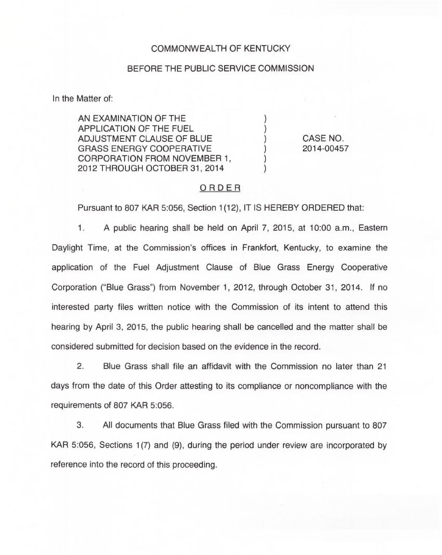## COMMONWEALTH OF KENTUCKY

#### BEFORE THE PUBLIC SERVICE COMMISSION

In the Matter of:

AN EXAMINATION OF THE APPLICATION OF THE FUEL ADJUSTMENT CLAUSE OF BLUE GRASS ENERGY COOPERATIVE CORPORATION FROM NOVEMBER 1, 2012 THROUGH OCTOBER 31, 2014

CASE NO. 2014-00457

### ORDER

Pursuant to 807 KAR 5:056, Section 1(12), IT IS HEREBY ORDERED that:

 $1.$ A public hearing shall be held on April 7, 2015, at 10:00 a.m., Eastern Daylight Time, at the Commission's offices in Frankfort, Kentucky, to examine the application of the Fuel Adjustment Clause of Blue Grass Energy Cooperative Corporation ("Blue Grass") from November 1, 2012, through October 31, 2014. If no interested party files written notice with the Commission of its intent to attend this hearing by April 3, 2015, the public hearing shall be cancelled and the matter shall be considered submitted for decision based on the evidence in the record.

2. Blue Grass shall file an affidavit with the Commission no later than 21 days from the date of this Order attesting to its compliance or noncompliance with the requirements of 807 KAR 5:056.

3. All documents that Blue Grass filed with the Commission pursuant to 807 KAR 5:056, Sections 1(7) and (9), during the period under review are incorporated by reference into the record of this proceeding.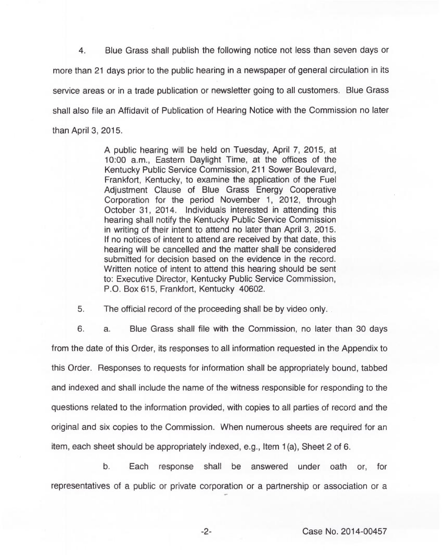Blue Grass shall publish the following notice not less than seven days or 4. more than 21 days prior to the public hearing in a newspaper of general circulation in its service areas or in a trade publication or newsletter going to all customers. Blue Grass shall also file an Affidavit of Publication of Hearing Notice with the Commission no later than April 3, 2015.

> A public hearing will be held on Tuesday, April 7, 2015, at 10:00 a.m., Eastern Daylight Time, at the offices of the Kentucky Public Service Commission, 211 Sower Boulevard, Frankfort, Kentucky, to examine the application of the Fuel Adjustment Clause of Blue Grass Energy Cooperative Corporation for the period November 1, 2012, through October 31, 2014. Individuals interested in attending this hearing shall notify the Kentucky Public Service Commission in writing of their intent to attend no later than April 3, 2015. If no notices of intent to attend are received by that date, this hearing will be cancelled and the matter shall be considered submitted for decision based on the evidence in the record. Written notice of intent to attend this hearing should be sent to: Executive Director, Kentucky Public Service Commission, P.O. Box 615, Frankfort, Kentucky 40602.

5. The official record of the proceeding shall be by video only.

6. a. Blue Grass shall file with the Commission, no later than 30 days from the date of this Order, its responses to all information requested in the Appendix to this Order. Responses to requests for information shall be appropriately bound, tabbed and indexed and shall include the name of the witness responsible for responding to the questions related to the information provided, with copies to all parties of record and the original and six copies to the Commission. When numerous sheets are required for an item, each sheet should be appropriately indexed, e.g., Item 1(a), Sheet 2 of 6.

b. Each response shall be answered under oath or, for representatives of a public or private corporation or a partnership or association or a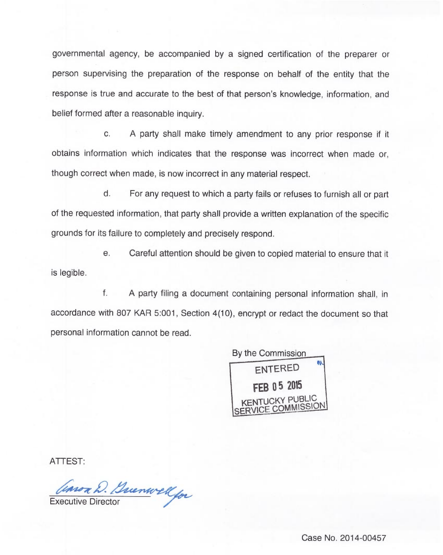governmental agency, be accompanied by a signed certification of the preparer or person supervising the preparation of the response on behalf of the entity that the response is true and accurate to the best of that person's knowledge, information, and belief formed after a reasonable inquiry.

c. A party shall make timely amendment to any prior response if it obtains information which indicates that the response was incorrect when made or, though correct when made, is now incorrect in any material respect.

d. For any request to which a party fails or refuses to furnish all or part of the requested information, that party shall provide a written explanation of the specific grounds for its failure to completely and precisely respond.

e. Careful attention should be given to copied material to ensure that it is legible

f. A party filing a document containing personal information shall, in accordance with 807 KAR 5:001, Section 4(10), encrypt or redact the document so that personal information cannot be read.



ATTEST:

Convor D. Buenwell for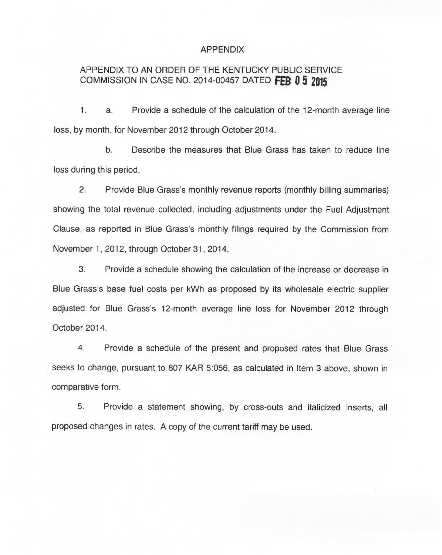### APPENDIX

# APPENDIX TO AN ORDER OF THE KENTUCKY PUBLIC SERVICE COMMISSION IN CASE NO. 2014-00457 DATED FEB  $0.5$  2015

 $1.$ a. Provide a schedule of the calculation of the 12-month average line loss, by month, for November 2012 through October 2014.

b. Describe the measures that Blue Grass has taken to reduce line loss during this period.

2. Provide Blue Grass's monthly revenue reports (monthly billing summaries) showing the total revenue collected, including adjustments under the Fuel Adjustment Clause, as reported in Blue Grass's monthly filings required by the Commission from November 1, 2012, through October 31, 2014.

3. Provide a schedule showing the calculation of the increase or decrease in Blue Grass's base fuel costs per kWh as proposed by its wholesale electric supplier adjusted for Blue Grass's 12-month average line loss for November 2012 through October 2014.

4. Provide a schedule of the present and proposed rates that Blue Grass seeks to change, pursuant to 807 KAR 5:056, as calculated in Item 3 above, shown in comparative form.

5. Provide a statement showing, by cross-outs and italicized inserts, all proposed changes in rates. A copy of the current tariff may be used.